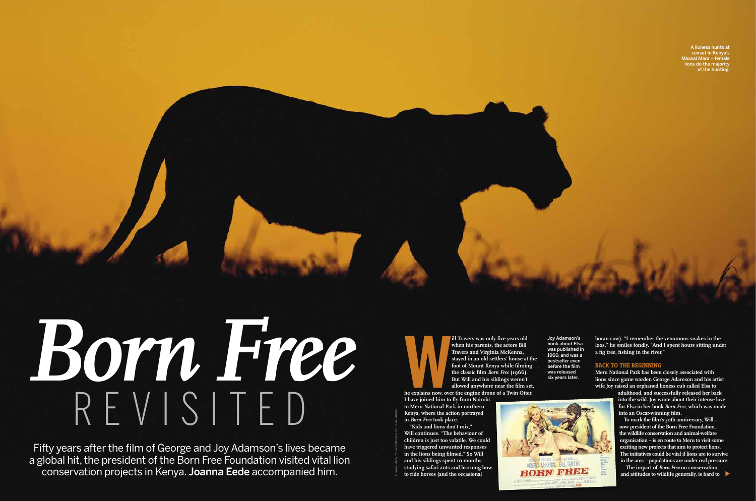A lioness hunts at sunset in Kenya's Maasai Mara – female lions do the majority of the hunting.

Joy Adamson's book about Elsa was published in 1960, and was a bestseller even before the film was released six years later.

# REVISITED *Born Free*

Fifty years after the film of George and Joy Adamson's lives became a global hit, the president of the Born Free Foundation visited vital lion conservation projects in Kenya. Joanna Eede accompanied him.

**WE ARRANGE SERVICE SERVICE SERVICE SERVICE SERVICE SERVICE SERVICE SERVICE SERVICE SERVICE SERVICE SERVICE SERVICE SERVICE SERVICE SERVICE SERVICE SERVICE SERVICE SERVICE SERVICE SERVICE SERVICE SERVICE SERVICE SERVICE SE** 

**ill Travers was only five years old when his parents, the actors Bill Travers and Virginia McKenna, stayed in an old settlers' house at the foot of Mount Kenya while filming the classic film** *Born Free* **(1966). But Will and his siblings weren't allowed anywhere near the film set,** 

**he explains now, over the engine drone of a Twin Otter.** 

**I have joined him to fly from Nairobi to Meru National Park in northern Kenya, where the action portrayed in** *Born Free* **took place.**

To mark the film's 50th anniversary, Will **now president of the Born Free Foundation, the wildlife conservation and animal-welfare organisation – is en route to Meru to visit some exciting new projects that aim to protect lions. The initiatives could be vital if lions are to survive in the area – populations are under real pressure.**

**"Kids and lions don't mix," Will continues. "The behaviour of children is just too volatile. We could have triggered unwanted responses in the lions being filmed." So Will and his siblings spent 10 months studying safari ants and learning how to ride horses (and the occasional** 

**boran cow). "I remember the venomous snakes in the loos," he smiles fondly. "And I spent hours sitting under a fig tree, fishing in the river."**

### **BACK TO THE BEGINNING**

**Meru National Park has been closely associated with lions since game warden George Adamson and his artist wife Joy raised an orphaned lioness cub called Elsa to** 

**adulthood, and successfully released her back into the wild. Joy wrote about their intense love for Elsa in her book** *Born Free***, which was made into an Oscar-winning film.**

Lioness: Andy Rouse/naturepl.com; inset: Alamy



**The impact of** *Born Free* **on conservation, and attitudes to wildlife generally, is hard to**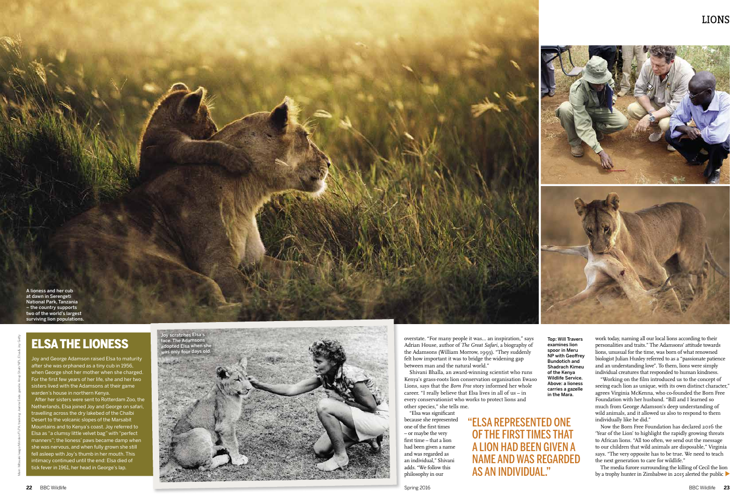work today, naming all our local lions according to their personalities and traits." The Adamsons' attitude towards lions, unusual for the time, was born of what renowned biologist Julian Huxley referred to as a "passionate patience and an understanding love". To them, lions were simply individual creatures that responded to human kindness.

"Working on the film introduced us to the concept of seeing each lion as unique, with its own distinct character," agrees Virginia McKenna, who co-founded the Born Free Foundation with her husband. "Bill and I learned so much from George Adamson's deep understanding of wild animals, and it allowed us also to respond to them individually like he did."

Top: Will Travers examines lion spoor in Meru NP with Geofrey Bundotich and Shadrach Kimeu of the Kenya Wildlife Service. Above: a lioness carries a gazelle in the Mara.

Now the Born Free Foundation has declared 2016 the 'Year of the Lion' to highlight the rapidly growing threats to African lions. "All too often, we send out the message to our children that wild animals are disposable," Virginia says. "The very opposite has to be true. We need to teach the next generation to care for wildlife."

The media furore surrounding the killing of Cecil the lion by a trophy hunter in Zimbabwe in 2015 alerted the public

# ELSA THE LIONESS

Joy and George Adamson raised Elsa to maturity after she was orphaned as a tiny cub in 1956, when George shot her mother when she charged. For the first few years of her life, she and her two sisters lived with the Adamsons at their game warden's house in northern Kenya. After her sisters were sent to Rotterdam Zoo, the



Netherlands, Elsa joined Joy and George on safari, travelling across the dry lakebed of the Chalbi Desert to the volcanic slopes of the Marsabit Mountains and to Kenya's coast. Joy referred to Elsa as "a clumsy little velvet bag" with "perfect manners"; the lioness' paws became damp when she was nervous, and when fully grown she still fell asleep with Joy's thumb in her mouth. This intimacy continued until the end: Elsa died of tick fever in 1961, her head in George's lap.

Main: Mitsuaki Iwago/Minden/FLPA; tracking: Joanna Eede; gazelle: Anup Shah/NPL; Elsa & Joy: Getty

overstate. "For many people it was… an inspiration," says Adrian House, author of *The Great Safari*, a biography of the Adamsons (William Morrow, 1993). "They suddenly felt how important it was to bridge the widening gap between man and the natural world."

Shivani Bhalla, an award-winning scientist who runs Kenya's grass-roots lion conservation organisation Ewaso Lions, says that the *Born Free* story informed her whole career. "I really believe that Elsa lives in all of us – in every conservationist who works to protect lions and other species," she tells me.

"Elsa was significant because she represented one of the first times – or maybe the very first time – that a lion had been given a name and was regarded as an individual," Shivani adds. "We follow this philosophy in our

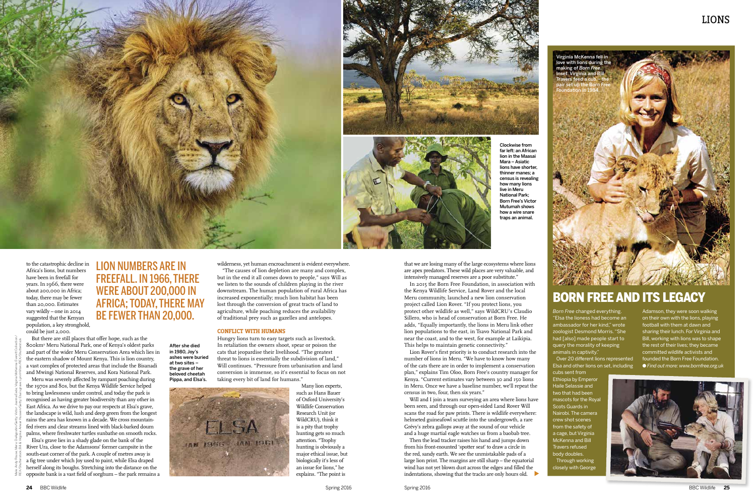*Born Free* changed everything. "Elsa the lioness had become an ambassador for her kind," wrote zoologist Desmond Morris. "She had [also] made people start to query the morality of keeping animals in captivity.

Over 20 diferent lions represented Elsa and other lions on set, including

cubs sent from Ethiopia by Emperor Haile Selassie and two that had been mascots for the Roya Scots Guards in Nairobi. The camera crew shot scenes from the safety of a cage, but Virginia McKenna and Bill Travers refused body doubles. Through working closely with George

Adamson, they were soon walking on their own with the lions, playing football with them at dawn and sharing their lunch. For Virginia and Bill, working with lions was to shape the rest of their lives; they became committed wildlife activists and founded the Born Free Foundation. O *Find out more: www.bornfree.org.uk*

# BORN FREE AND ITS LEGACY

to the catastrophic decline in Africa's lions, but numbers have been in freefall for years. In 1966, there were about 200,000 in Africa; today, there may be fewer than 20,000. Estimates vary wildly – one in 2014 suggested that the Kenyan population, a key stronghold, could be just 2,000.

Meru was severely affected by rampant poaching during the 1970s and 80s, but the Kenya Wildlife Service helped to bring lawlessness under control, and today the park is recognised as having greater biodiversity than any other in East Africa. As we drive to pay our respects at Elsa's grave, the landscape is wild, lush and deep green from the longest rains the area has known in a decade. We cross mountainfed rivers and clear streams lined with black-barked doum palms, where freshwater turtles sunbathe on smooth rocks.

Elsa's grave lies in a shady glade on the bank of the River Ura, close to the Adamsons' former campsite in the south-east corner of the park. A couple of metres away is a fig tree under which Joy used to paint, while Elsa draped herself along its boughs. Stretching into the distance on the opposite bank is a vast field of sorghum – the park remains a

Then the lead tracker raises his hand and jumps down from his front-mounted 'spotter seat' to draw a circle in the red, sandy earth. We see the unmistakable pads of a large lion print. The margins are still sharp – the equatorial wind has not yet blown dust across the edges and filled the indentations, showing that the tracks are only hours old.

# LIONS

wilderness, yet human encroachment is evident everywhere.

"The causes of lion depletion are many and complex, but in the end it all comes down to people," says Will as we listen to the sounds of children playing in the river downstream. The human population of rural Africa has increased exponentially; much lion habitat has been lost through the conversion of great tracts of land to agriculture, while poaching reduces the availability of traditional prey such as gazelles and antelopes.

### **CONFLICT WITH HUMANS**

Hungry lions turn to easy targets such as livestock. In retaliation the owners shoot, spear or poison the cats that jeopardise their livelihood. "The greatest threat to lions is essentially the subdivision of land," Will continues. "Pressure from urbanisation and land conversion is immense, so it's essential to focus on not taking every bit of land for humans."



But there are still places that offer hope, such as the 800km2 Meru National Park, one of Kenya's oldest parks and part of the wider Meru Conservation Area which lies in the eastern shadow of Mount Kenya. This is lion country, a vast complex of protected areas that include the Bisanadi and Mwingi National Reserves, and Kora National Park. After she died in 1980, Joy's ashes were buried at two sites – the grave of her beloved cheetah Pippa, and Elsa's.

Many lion experts, such as Hans Bauer of Oxford University's Wildlife Conservation Research Unit (or WildCRU), think it is a pity that trophy hunting gets so much attention. "Trophy hunting is obviously a major ethical issue, but biologically it's less of an issue for lions," he explains. "The point is

that we are losing many of the large ecosystems where lions are apex predators. These wild places are very valuable, and intensively managed reserves are a poor substitute."

In 2015 the Born Free Foundation, in association with the Kenya Wildlife Service, Land Rover and the local Meru community, launched a new lion conservation project called Lion Rover. "If you protect lions, you protect other wildlife as well," says WildCRU's Claudio Sillero, who is head of conservation at Born Free. He adds, "Equally importantly, the lions in Meru link other lion populations to the east, in Tsavo National Park and near the coast, and to the west, for example at Laikipia. This helps to maintain genetic connectivity."

Lion Rover's first priority is to conduct research into the number of lions in Meru. "We have to know how many of the cats there are in order to implement a conservation plan," explains Tim Oloo, Born Free's country manager for Kenya. "Current estimates vary between 30 and 150 lions in Meru. Once we have a baseline number, we'll repeat the census in two, four, then six years."

Will and I join a team surveying an area where lions have been seen, and through our open-sided Land Rover Will scans the road for paw prints. There is wildlife everywhere: helmeted guineafowl scuttle into the undergrowth, a rare Grévy's zebra gallops away at the sound of our vehicle and a huge martial eagle watches us from a baobab tree.





Clockwise from far left: an African lion in the Maasai Mara – Asiatic lions have shorter, thinner manes; a census is revealing how many lions live in Meru National Park; Born Free's Victor Mutumah shows how a wire snare traps an animal.

LION NUMBERS ARE IN FREEFALL. IN 1966, THERE WERE ABOUT 200,000 IN AFRICA; TODAY, THERE MAY BE FEWER THAN 20,000.